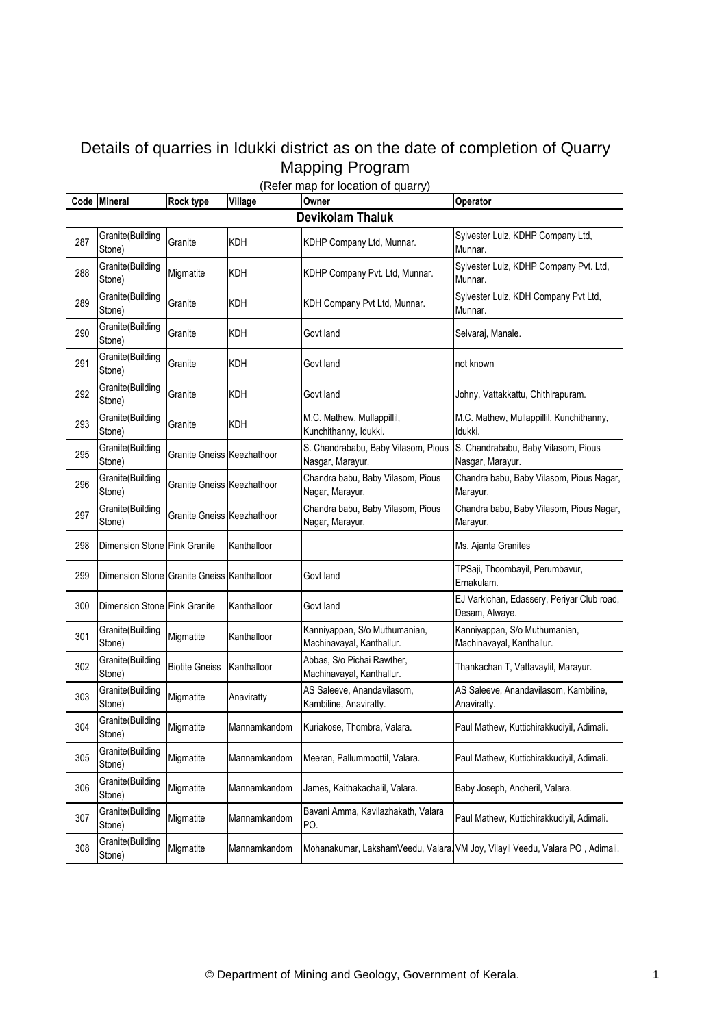## Details of quarries in Idukki district as on the date of completion of Quarry Mapping Program

|     | Code Mineral                               | <b>Rock type</b>           | 1.0001110<br>Village | Owner                                                      | Operator                                                                     |  |  |  |  |
|-----|--------------------------------------------|----------------------------|----------------------|------------------------------------------------------------|------------------------------------------------------------------------------|--|--|--|--|
|     | <b>Devikolam Thaluk</b>                    |                            |                      |                                                            |                                                                              |  |  |  |  |
| 287 | Granite(Building<br>Stone)                 | Granite                    | <b>KDH</b>           | KDHP Company Ltd, Munnar.                                  | Sylvester Luiz, KDHP Company Ltd,<br>Munnar.                                 |  |  |  |  |
| 288 | Granite(Building<br>Stone)                 | Migmatite                  | <b>KDH</b>           | KDHP Company Pvt. Ltd, Munnar.                             | Sylvester Luiz, KDHP Company Pvt. Ltd,<br>Munnar.                            |  |  |  |  |
| 289 | Granite(Building<br>Stone)                 | Granite                    | <b>KDH</b>           | KDH Company Pvt Ltd, Munnar.                               | Sylvester Luiz, KDH Company Pvt Ltd,<br>Munnar.                              |  |  |  |  |
| 290 | Granite(Building<br>Stone)                 | Granite                    | <b>KDH</b>           | Govt land                                                  | Selvaraj, Manale.                                                            |  |  |  |  |
| 291 | Granite(Building<br>Stone)                 | Granite                    | KDH                  | Govt land                                                  | not known                                                                    |  |  |  |  |
| 292 | Granite(Building<br>Stone)                 | Granite                    | KDH                  | Govt land                                                  | Johny, Vattakkattu, Chithirapuram.                                           |  |  |  |  |
| 293 | Granite(Building<br>Stone)                 | Granite                    | KDH                  | M.C. Mathew, Mullappillil,<br>Kunchithanny, Idukki.        | M.C. Mathew, Mullappillil, Kunchithanny,<br>Idukki.                          |  |  |  |  |
| 295 | Granite(Building<br>Stone)                 | Granite Gneiss Keezhathoor |                      | S. Chandrababu, Baby Vilasom, Pious<br>Nasgar, Marayur.    | S. Chandrababu, Baby Vilasom, Pious<br>Nasgar, Marayur.                      |  |  |  |  |
| 296 | Granite(Building<br>Stone)                 | Granite Gneiss Keezhathoor |                      | Chandra babu, Baby Vilasom, Pious<br>Nagar, Marayur.       | Chandra babu, Baby Vilasom, Pious Nagar,<br>Marayur.                         |  |  |  |  |
| 297 | Granite(Building<br>Stone)                 | Granite Gneiss Keezhathoor |                      | Chandra babu, Baby Vilasom, Pious<br>Nagar, Marayur.       | Chandra babu, Baby Vilasom, Pious Nagar,<br>Marayur.                         |  |  |  |  |
| 298 | Dimension Stone Pink Granite               |                            | Kanthalloor          |                                                            | Ms. Ajanta Granites                                                          |  |  |  |  |
| 299 | Dimension Stone Granite Gneiss Kanthalloor |                            |                      | Govt land                                                  | TPSaji, Thoombayil, Perumbavur,<br>Ernakulam.                                |  |  |  |  |
| 300 | Dimension Stone Pink Granite               |                            | Kanthalloor          | Govt land                                                  | EJ Varkichan, Edassery, Periyar Club road,<br>Desam, Alwaye.                 |  |  |  |  |
| 301 | Granite(Building<br>Stone)                 | Migmatite                  | Kanthalloor          | Kanniyappan, S/o Muthumanian,<br>Machinavayal, Kanthallur. | Kanniyappan, S/o Muthumanian,<br>Machinavayal, Kanthallur.                   |  |  |  |  |
| 302 | Granite(Building<br>Stone)                 | <b>Biotite Gneiss</b>      | Kanthalloor          | Abbas, S/o Pichai Rawther,<br>Machinavayal, Kanthallur.    | Thankachan T, Vattavaylil, Marayur.                                          |  |  |  |  |
| 303 | Granite(Building<br>Stone)                 | Migmatite                  | Anaviratty           | AS Saleeve, Anandavilasom,<br>Kambiline, Anaviratty.       | AS Saleeve, Anandavilasom, Kambiline,<br>Anaviratty.                         |  |  |  |  |
| 304 | Granite(Building<br>Stone)                 | Migmatite                  | Mannamkandom         | Kuriakose, Thombra, Valara.                                | Paul Mathew, Kuttichirakkudiyil, Adimali.                                    |  |  |  |  |
| 305 | Granite(Building<br>Stone)                 | Migmatite                  | Mannamkandom         | Meeran, Pallummoottil, Valara.                             | Paul Mathew, Kuttichirakkudiyil, Adimali.                                    |  |  |  |  |
| 306 | Granite(Building<br>Stone)                 | Migmatite                  | Mannamkandom         | James, Kaithakachalil, Valara.                             | Baby Joseph, Ancheril, Valara.                                               |  |  |  |  |
| 307 | Granite(Building<br>Stone)                 | Migmatite                  | Mannamkandom         | Bavani Amma, Kavilazhakath, Valara<br>PO.                  | Paul Mathew, Kuttichirakkudiyil, Adimali.                                    |  |  |  |  |
| 308 | Granite(Building<br>Stone)                 | Migmatite                  | Mannamkandom         |                                                            | Mohanakumar, LakshamVeedu, Valara VM Joy, Vilayil Veedu, Valara PO, Adimali. |  |  |  |  |

## (Refer map for location of quarry)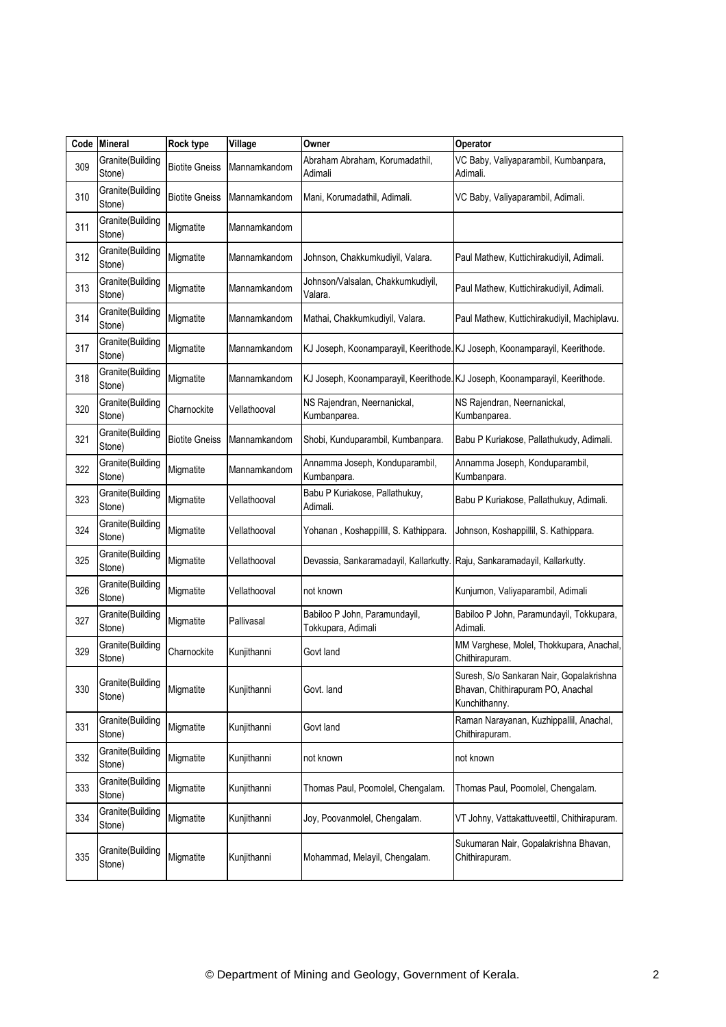| Code | <b>Mineral</b>             | Rock type             | Village      | Owner                                                                     | Operator                                                                                       |
|------|----------------------------|-----------------------|--------------|---------------------------------------------------------------------------|------------------------------------------------------------------------------------------------|
| 309  | Granite(Building<br>Stone) | <b>Biotite Gneiss</b> | Mannamkandom | Abraham Abraham, Korumadathil,<br>Adimali                                 | VC Baby, Valiyaparambil, Kumbanpara,<br>Adimali.                                               |
| 310  | Granite(Building<br>Stone) | <b>Biotite Gneiss</b> | Mannamkandom | Mani, Korumadathil, Adimali.                                              | VC Baby, Valiyaparambil, Adimali.                                                              |
| 311  | Granite(Building<br>Stone) | Migmatite             | Mannamkandom |                                                                           |                                                                                                |
| 312  | Granite(Building<br>Stone) | Migmatite             | Mannamkandom | Johnson, Chakkumkudiyil, Valara.                                          | Paul Mathew, Kuttichirakudiyil, Adimali.                                                       |
| 313  | Granite(Building<br>Stone) | Migmatite             | Mannamkandom | Johnson/Valsalan, Chakkumkudiyil,<br>Valara.                              | Paul Mathew, Kuttichirakudiyil, Adimali.                                                       |
| 314  | Granite(Building<br>Stone) | Migmatite             | Mannamkandom | Mathai, Chakkumkudiyil, Valara.                                           | Paul Mathew, Kuttichirakudiyil, Machiplavu.                                                    |
| 317  | Granite(Building<br>Stone) | Migmatite             | Mannamkandom |                                                                           | KJ Joseph, Koonamparayil, Keerithode. KJ Joseph, Koonamparayil, Keerithode.                    |
| 318  | Granite(Building<br>Stone) | Migmatite             | Mannamkandom |                                                                           | KJ Joseph, Koonamparayil, Keerithode. KJ Joseph, Koonamparayil, Keerithode.                    |
| 320  | Granite(Building<br>Stone) | Charnockite           | Vellathooval | NS Rajendran, Neernanickal,<br>Kumbanparea.                               | NS Rajendran, Neernanickal,<br>Kumbanparea.                                                    |
| 321  | Granite(Building<br>Stone) | <b>Biotite Gneiss</b> | Mannamkandom | Shobi, Kunduparambil, Kumbanpara.                                         | Babu P Kuriakose, Pallathukudy, Adimali.                                                       |
| 322  | Granite(Building<br>Stone) | Migmatite             | Mannamkandom | Annamma Joseph, Konduparambil,<br>Kumbanpara.                             | Annamma Joseph, Konduparambil,<br>Kumbanpara.                                                  |
| 323  | Granite(Building<br>Stone) | Migmatite             | Vellathooval | Babu P Kuriakose, Pallathukuy,<br>Adimali.                                | Babu P Kuriakose, Pallathukuy, Adimali.                                                        |
| 324  | Granite(Building<br>Stone) | Migmatite             | Vellathooval | Yohanan, Koshappillil, S. Kathippara.                                     | Johnson, Koshappillil, S. Kathippara.                                                          |
| 325  | Granite(Building<br>Stone) | Migmatite             | Vellathooval | Devassia, Sankaramadayil, Kallarkutty. Raju, Sankaramadayil, Kallarkutty. |                                                                                                |
| 326  | Granite(Building<br>Stone) | Migmatite             | Vellathooval | not known                                                                 | Kunjumon, Valiyaparambil, Adimali                                                              |
| 327  | Granite(Building<br>Stone) | Migmatite             | Pallivasal   | Babiloo P John, Paramundayil,<br>Tokkupara, Adimali                       | Babiloo P John, Paramundayil, Tokkupara,<br>Adimali.                                           |
| 329  | Granite(Building<br>Stone) | Charnockite           | Kunjithanni  | Govt land                                                                 | MM Varghese, Molel, Thokkupara, Anachal,<br>Chithirapuram.                                     |
| 330  | Granite(Building<br>Stone) | Migmatite             | Kunjithanni  | Govt. land                                                                | Suresh, S/o Sankaran Nair, Gopalakrishna<br>Bhavan, Chithirapuram PO, Anachal<br>Kunchithanny. |
| 331  | Granite(Building<br>Stone) | Migmatite             | Kunjithanni  | Govt land                                                                 | Raman Narayanan, Kuzhippallil, Anachal,<br>Chithirapuram.                                      |
| 332  | Granite(Building<br>Stone) | Migmatite             | Kunjithanni  | not known                                                                 | not known                                                                                      |
| 333  | Granite(Building<br>Stone) | Migmatite             | Kunjithanni  | Thomas Paul, Poomolel, Chengalam.                                         | Thomas Paul, Poomolel, Chengalam.                                                              |
| 334  | Granite(Building<br>Stone) | Migmatite             | Kunjithanni  | Joy, Poovanmolel, Chengalam.                                              | VT Johny, Vattakattuveettil, Chithirapuram.                                                    |
| 335  | Granite(Building<br>Stone) | Migmatite             | Kunjithanni  | Mohammad, Melayil, Chengalam.                                             | Sukumaran Nair, Gopalakrishna Bhavan,<br>Chithirapuram.                                        |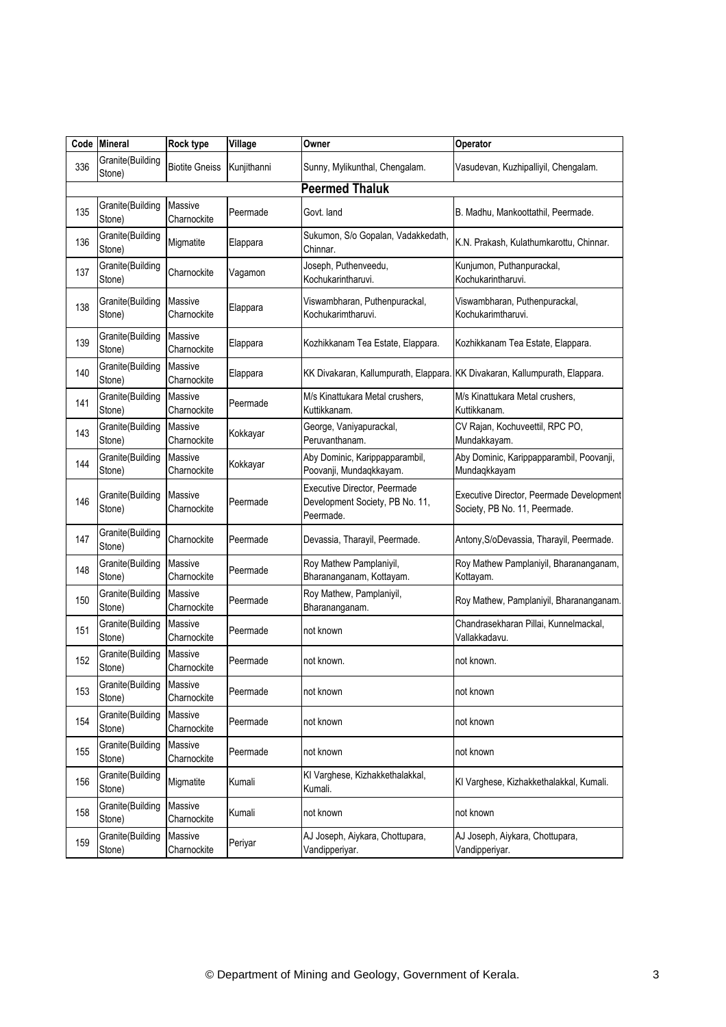| Code | <b>Mineral</b>             | <b>Rock type</b>              | Village     | Owner                                                                        | Operator                                                                    |
|------|----------------------------|-------------------------------|-------------|------------------------------------------------------------------------------|-----------------------------------------------------------------------------|
| 336  | Granite(Building<br>Stone) | <b>Biotite Gneiss</b>         | Kunjithanni | Sunny, Mylikunthal, Chengalam.                                               | Vasudevan, Kuzhipalliyil, Chengalam.                                        |
|      |                            |                               |             | <b>Peermed Thaluk</b>                                                        |                                                                             |
| 135  | Granite(Building<br>Stone) | Massive<br>Charnockite        | Peermade    | Govt. land                                                                   | B. Madhu, Mankoottathil, Peermade.                                          |
| 136  | Granite(Building<br>Stone) | Migmatite                     | Elappara    | Sukumon, S/o Gopalan, Vadakkedath,<br>Chinnar.                               | K.N. Prakash, Kulathumkarottu, Chinnar.                                     |
| 137  | Granite(Building<br>Stone) | Charnockite                   | Vagamon     | Joseph, Puthenveedu,<br>Kochukarintharuvi.                                   | Kunjumon, Puthanpurackal,<br>Kochukarintharuvi.                             |
| 138  | Granite(Building<br>Stone) | Massive<br>Charnockite        | Elappara    | Viswambharan, Puthenpurackal,<br>Kochukarimtharuvi.                          | Viswambharan, Puthenpurackal,<br>Kochukarimtharuvi.                         |
| 139  | Granite(Building<br>Stone) | <b>Massive</b><br>Charnockite | Elappara    | Kozhikkanam Tea Estate, Elappara.                                            | Kozhikkanam Tea Estate, Elappara.                                           |
| 140  | Granite(Building<br>Stone) | Massive<br>Charnockite        | Elappara    |                                                                              | KK Divakaran, Kallumpurath, Elappara. KK Divakaran, Kallumpurath, Elappara. |
| 141  | Granite(Building<br>Stone) | <b>Massive</b><br>Charnockite | Peermade    | M/s Kinattukara Metal crushers,<br>Kuttikkanam.                              | M/s Kinattukara Metal crushers,<br>Kuttikkanam.                             |
| 143  | Granite(Building<br>Stone) | Massive<br>Charnockite        | Kokkayar    | George, Vaniyapurackal,<br>Peruvanthanam.                                    | CV Rajan, Kochuveettil, RPC PO,<br>Mundakkayam.                             |
| 144  | Granite(Building<br>Stone) | <b>Massive</b><br>Charnockite | Kokkayar    | Aby Dominic, Karippapparambil,<br>Poovanji, Mundaqkkayam.                    | Aby Dominic, Karippapparambil, Poovanji,<br>Mundaqkkayam                    |
| 146  | Granite(Building<br>Stone) | Massive<br>Charnockite        | Peermade    | Executive Director, Peermade<br>Development Society, PB No. 11,<br>Peermade. | Executive Director, Peermade Development<br>Society, PB No. 11, Peermade.   |
| 147  | Granite(Building<br>Stone) | Charnockite                   | Peermade    | Devassia, Tharayil, Peermade.                                                | Antony, S/oDevassia, Tharayil, Peermade.                                    |
| 148  | Granite(Building<br>Stone) | Massive<br>Charnockite        | Peermade    | Roy Mathew Pamplaniyil,<br>Bharananganam, Kottayam.                          | Roy Mathew Pamplaniyil, Bharananganam,<br>Kottayam.                         |
| 150  | Granite(Building<br>Stone) | <b>Massive</b><br>Charnockite | Peermade    | Roy Mathew, Pamplaniyil,<br>Bharananganam.                                   | Roy Mathew, Pamplaniyil, Bharananganam.                                     |
| 151  | Granite(Building<br>Stone) | <b>Massive</b><br>Charnockite | Peermade    | not known                                                                    | Chandrasekharan Pillai, Kunnelmackal,<br>Vallakkadavu.                      |
| 152  | Granite(Building<br>Stone) | <b>Massive</b><br>Charnockite | Peermade    | not known.                                                                   | not known.                                                                  |
| 153  | Granite(Building<br>Stone) | Massive<br>Charnockite        | Peermade    | not known                                                                    | not known                                                                   |
| 154  | Granite(Building<br>Stone) | Massive<br>Charnockite        | Peermade    | not known                                                                    | not known                                                                   |
| 155  | Granite(Building<br>Stone) | <b>Massive</b><br>Charnockite | Peermade    | not known                                                                    | not known                                                                   |
| 156  | Granite(Building<br>Stone) | Migmatite                     | Kumali      | KI Varghese, Kizhakkethalakkal,<br>Kumali.                                   | KI Varghese, Kizhakkethalakkal, Kumali.                                     |
| 158  | Granite(Building<br>Stone) | Massive<br>Charnockite        | Kumali      | not known                                                                    | not known                                                                   |
| 159  | Granite(Building<br>Stone) | Massive<br>Charnockite        | Periyar     | AJ Joseph, Aiykara, Chottupara,<br>Vandipperiyar.                            | AJ Joseph, Aiykara, Chottupara,<br>Vandipperiyar.                           |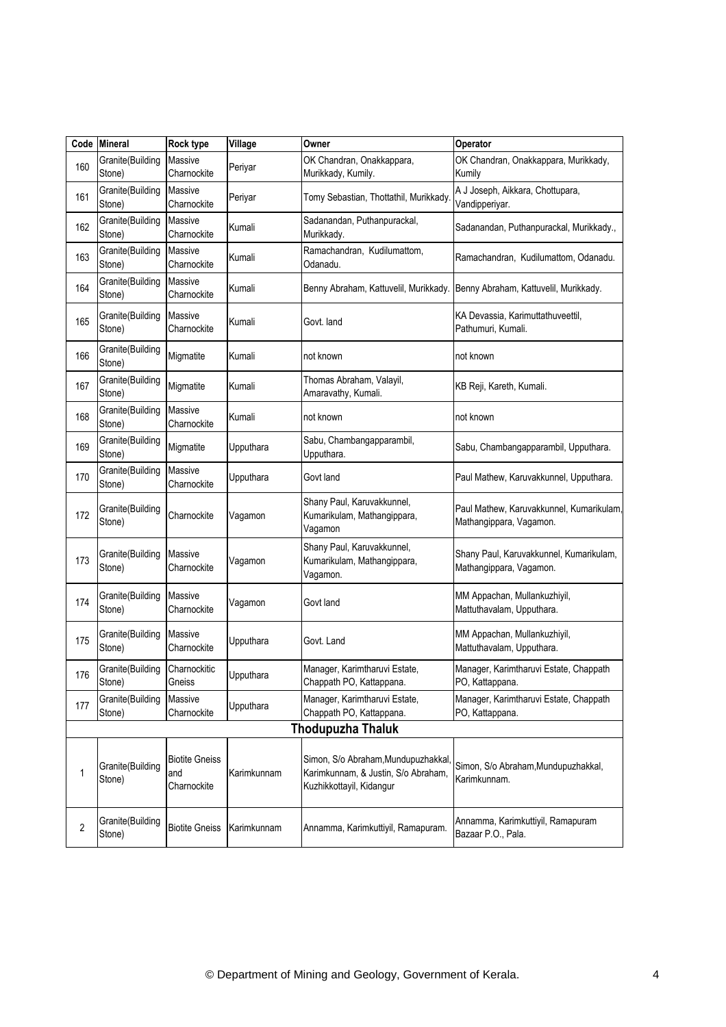| Code | <b>Mineral</b>             | <b>Rock type</b>                            | Village     | Owner                                                                                                 | Operator                                                            |
|------|----------------------------|---------------------------------------------|-------------|-------------------------------------------------------------------------------------------------------|---------------------------------------------------------------------|
| 160  | Granite(Building<br>Stone) | Massive<br>Charnockite                      | Periyar     | OK Chandran, Onakkappara,<br>Murikkady, Kumily.                                                       | OK Chandran, Onakkappara, Murikkady,<br>Kumily                      |
| 161  | Granite(Building<br>Stone) | Massive<br>Charnockite                      | Periyar     | Tomy Sebastian, Thottathil, Murikkady                                                                 | A J Joseph, Aikkara, Chottupara,<br>Vandipperiyar.                  |
| 162  | Granite(Building<br>Stone) | Massive<br>Charnockite                      | Kumali      | Sadanandan, Puthanpurackal,<br>Murikkady.                                                             | Sadanandan, Puthanpurackal, Murikkady.,                             |
| 163  | Granite(Building<br>Stone) | Massive<br>Charnockite                      | Kumali      | Ramachandran, Kudilumattom,<br>Odanadu.                                                               | Ramachandran, Kudilumattom, Odanadu.                                |
| 164  | Granite(Building<br>Stone) | Massive<br>Charnockite                      | Kumali      | Benny Abraham, Kattuvelil, Murikkady.                                                                 | Benny Abraham, Kattuvelil, Murikkady.                               |
| 165  | Granite(Building<br>Stone) | Massive<br>Charnockite                      | Kumali      | Govt. land                                                                                            | KA Devassia, Karimuttathuveettil,<br>Pathumuri, Kumali.             |
| 166  | Granite(Building<br>Stone) | Migmatite                                   | Kumali      | not known                                                                                             | not known                                                           |
| 167  | Granite(Building<br>Stone) | Migmatite                                   | Kumali      | Thomas Abraham, Valayil,<br>Amaravathy, Kumali.                                                       | KB Reji, Kareth, Kumali.                                            |
| 168  | Granite(Building<br>Stone) | Massive<br>Charnockite                      | Kumali      | not known                                                                                             | not known                                                           |
| 169  | Granite(Building<br>Stone) | Migmatite                                   | Upputhara   | Sabu, Chambangapparambil,<br>Upputhara.                                                               | Sabu, Chambangapparambil, Upputhara.                                |
| 170  | Granite(Building<br>Stone) | Massive<br>Charnockite                      | Upputhara   | Govt land                                                                                             | Paul Mathew, Karuvakkunnel, Upputhara.                              |
| 172  | Granite(Building<br>Stone) | Charnockite                                 | Vagamon     | Shany Paul, Karuvakkunnel,<br>Kumarikulam, Mathangippara,<br>Vagamon                                  | Paul Mathew, Karuvakkunnel, Kumarikulam,<br>Mathangippara, Vagamon. |
| 173  | Granite(Building<br>Stone) | Massive<br>Charnockite                      | Vagamon     | Shany Paul, Karuvakkunnel,<br>Kumarikulam, Mathangippara,<br>Vagamon.                                 | Shany Paul, Karuvakkunnel, Kumarikulam,<br>Mathangippara, Vagamon.  |
| 174  | Granite(Building<br>Stone) | Massive<br>Charnockite                      | Vagamon     | Govt land                                                                                             | MM Appachan, Mullankuzhiyil,<br>Mattuthavalam, Upputhara.           |
| 175  | Granite(Building<br>Stone) | Massive<br>Charnockite                      | Upputhara   | Govt. Land                                                                                            | MM Appachan, Mullankuzhiyil,<br>Mattuthavalam, Upputhara.           |
| 176  | Granite(Building<br>Stone) | Charnockitic<br>Gneiss                      | Upputhara   | Manager, Karimtharuvi Estate,<br>Chappath PO, Kattappana.                                             | Manager, Karimtharuvi Estate, Chappath<br>PO, Kattappana.           |
| 177  | Granite(Building<br>Stone) | Massive<br>Charnockite                      | Upputhara   | Manager, Karimtharuvi Estate,<br>Chappath PO, Kattappana.                                             | Manager, Karimtharuvi Estate, Chappath<br>PO, Kattappana.           |
|      |                            |                                             |             | <b>Thodupuzha Thaluk</b>                                                                              |                                                                     |
| 1    | Granite(Building<br>Stone) | <b>Biotite Gneiss</b><br>and<br>Charnockite | Karimkunnam | Simon, S/o Abraham, Mundupuzhakkal<br>Karimkunnam, & Justin, S/o Abraham,<br>Kuzhikkottayil, Kidangur | Simon, S/o Abraham, Mundupuzhakkal,<br>Karimkunnam.                 |
| 2    | Granite(Building<br>Stone) | <b>Biotite Gneiss</b>                       | Karimkunnam | Annamma, Karimkuttiyil, Ramapuram.                                                                    | Annamma, Karimkuttiyil, Ramapuram<br>Bazaar P.O., Pala.             |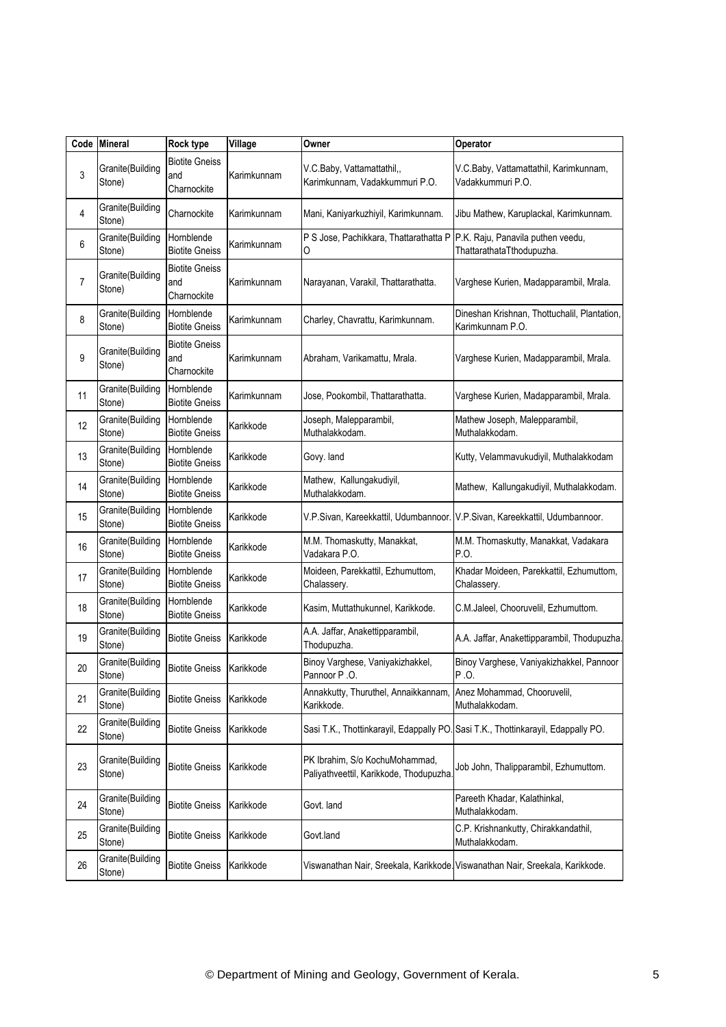| Code | <b>Mineral</b>             | Rock type                                   | Village     | Owner                                                                    | Operator                                                                          |
|------|----------------------------|---------------------------------------------|-------------|--------------------------------------------------------------------------|-----------------------------------------------------------------------------------|
| 3    | Granite(Building<br>Stone) | <b>Biotite Gneiss</b><br>and<br>Charnockite | Karimkunnam | V.C.Baby, Vattamattathil,,<br>Karimkunnam, Vadakkummuri P.O.             | V.C.Baby, Vattamattathil, Karimkunnam,<br>Vadakkummuri P.O.                       |
| 4    | Granite(Building<br>Stone) | Charnockite                                 | Karimkunnam | Mani, Kaniyarkuzhiyil, Karimkunnam.                                      | Jibu Mathew, Karuplackal, Karimkunnam.                                            |
| 6    | Granite(Building<br>Stone) | Hornblende<br><b>Biotite Gneiss</b>         | Karimkunnam | P S Jose, Pachikkara, Thattarathatta P<br>0                              | P.K. Raju, Panavila puthen veedu,<br>ThattarathataTthodupuzha.                    |
| 7    | Granite(Building<br>Stone) | <b>Biotite Gneiss</b><br>and<br>Charnockite | Karimkunnam | Narayanan, Varakil, Thattarathatta.                                      | Varghese Kurien, Madapparambil, Mrala.                                            |
| 8    | Granite(Building<br>Stone) | Hornblende<br><b>Biotite Gneiss</b>         | Karimkunnam | Charley, Chavrattu, Karimkunnam.                                         | Dineshan Krishnan, Thottuchalil, Plantation,<br>Karimkunnam P.O.                  |
| 9    | Granite(Building<br>Stone) | <b>Biotite Gneiss</b><br>and<br>Charnockite | Karimkunnam | Abraham, Varikamattu, Mrala.                                             | Varghese Kurien, Madapparambil, Mrala.                                            |
| 11   | Granite(Building<br>Stone) | Hornblende<br><b>Biotite Gneiss</b>         | Karimkunnam | Jose, Pookombil, Thattarathatta.                                         | Varghese Kurien, Madapparambil, Mrala.                                            |
| 12   | Granite(Building<br>Stone) | Hornblende<br><b>Biotite Gneiss</b>         | Karikkode   | Joseph, Malepparambil,<br>Muthalakkodam.                                 | Mathew Joseph, Malepparambil,<br>Muthalakkodam.                                   |
| 13   | Granite(Building<br>Stone) | Hornblende<br><b>Biotite Gneiss</b>         | Karikkode   | Govy. land                                                               | Kutty, Velammavukudiyil, Muthalakkodam                                            |
| 14   | Granite(Building<br>Stone) | Hornblende<br><b>Biotite Gneiss</b>         | Karikkode   | Mathew, Kallungakudiyil,<br>Muthalakkodam.                               | Mathew, Kallungakudiyil, Muthalakkodam.                                           |
| 15   | Granite(Building<br>Stone) | Hornblende<br><b>Biotite Gneiss</b>         | Karikkode   |                                                                          | V.P.Sivan, Kareekkattil, Udumbannoor. V.P.Sivan, Kareekkattil, Udumbannoor.       |
| 16   | Granite(Building<br>Stone) | Hornblende<br><b>Biotite Gneiss</b>         | Karikkode   | M.M. Thomaskutty, Manakkat,<br>Vadakara P.O.                             | M.M. Thomaskutty, Manakkat, Vadakara<br>P.O.                                      |
| 17   | Granite(Building<br>Stone) | Hornblende<br><b>Biotite Gneiss</b>         | Karikkode   | Moideen, Parekkattil, Ezhumuttom,<br>Chalassery.                         | Khadar Moideen, Parekkattil, Ezhumuttom,<br>Chalassery.                           |
| 18   | Granite(Building<br>Stone) | Hornblende<br><b>Biotite Gneiss</b>         | Karikkode   | Kasim, Muttathukunnel, Karikkode.                                        | C.M.Jaleel, Chooruvelil, Ezhumuttom.                                              |
| 19   | Granite(Building<br>Stone) | <b>Biotite Gneiss</b>                       | Karikkode   | A.A. Jaffar, Anakettipparambil,<br>Thodupuzha.                           | A.A. Jaffar, Anakettipparambil, Thodupuzha.                                       |
| 20   | Granite(Building<br>Stone) | <b>Biotite Gneiss</b>                       | Karikkode   | Binoy Varghese, Vaniyakizhakkel,<br>Pannoor P.O.                         | Binoy Varghese, Vaniyakizhakkel, Pannoor<br>P.O.                                  |
| 21   | Granite(Building<br>Stone) | <b>Biotite Gneiss</b>                       | Karikkode   | Annakkutty, Thuruthel, Annaikkannam,<br>Karikkode.                       | Anez Mohammad, Chooruvelil,<br>Muthalakkodam.                                     |
| 22   | Granite(Building<br>Stone) | <b>Biotite Gneiss</b>                       | Karikkode   |                                                                          | Sasi T.K., Thottinkarayil, Edappally PO. Sasi T.K., Thottinkarayil, Edappally PO. |
| 23   | Granite(Building<br>Stone) | <b>Biotite Gneiss</b>                       | Karikkode   | PK Ibrahim, S/o KochuMohammad,<br>Paliyathveettil, Karikkode, Thodupuzha | Job John, Thalipparambil, Ezhumuttom.                                             |
| 24   | Granite(Building<br>Stone) | <b>Biotite Gneiss</b>                       | Karikkode   | Govt. land                                                               | Pareeth Khadar, Kalathinkal,<br>Muthalakkodam.                                    |
| 25   | Granite(Building<br>Stone) | <b>Biotite Gneiss</b>                       | Karikkode   | Govt.land                                                                | C.P. Krishnankutty, Chirakkandathil,<br>Muthalakkodam.                            |
| 26   | Granite(Building<br>Stone) | <b>Biotite Gneiss</b>                       | Karikkode   |                                                                          | Viswanathan Nair, Sreekala, Karikkode Viswanathan Nair, Sreekala, Karikkode.      |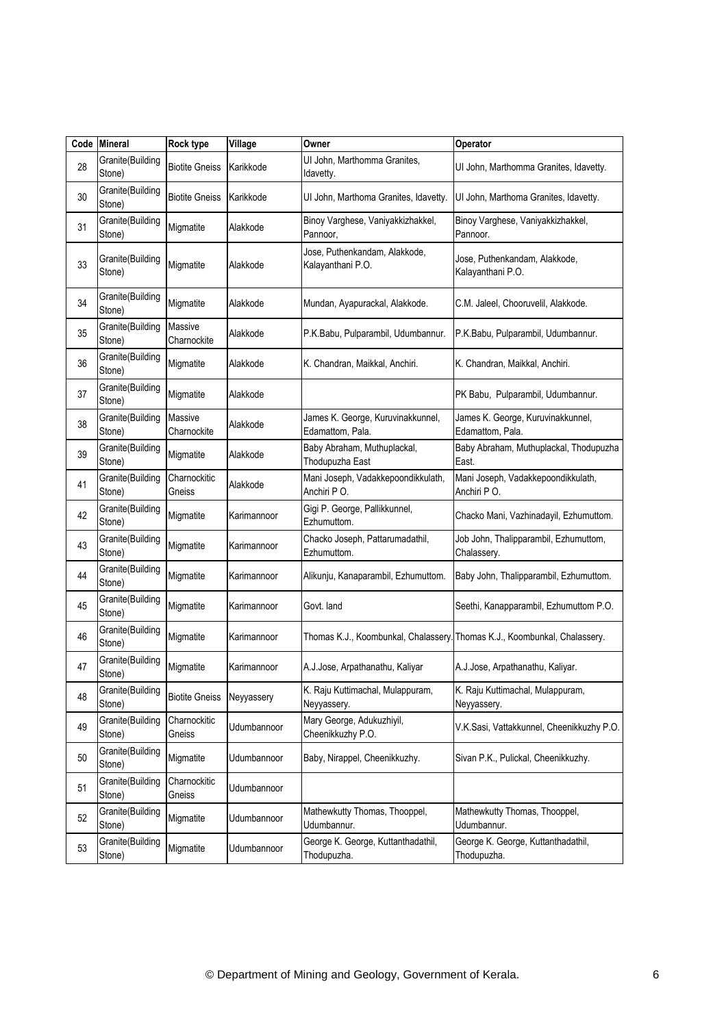| Code | <b>Mineral</b>             | <b>Rock type</b>              | Village     | Owner                                                 | Operator                                                                  |
|------|----------------------------|-------------------------------|-------------|-------------------------------------------------------|---------------------------------------------------------------------------|
| 28   | Granite(Building<br>Stone) | <b>Biotite Gneiss</b>         | Karikkode   | UI John, Marthomma Granites,<br>Idavetty.             | UI John, Marthomma Granites, Idavetty.                                    |
| 30   | Granite(Building<br>Stone) | <b>Biotite Gneiss</b>         | Karikkode   | UI John, Marthoma Granites, Idavetty.                 | UI John, Marthoma Granites, Idavetty.                                     |
| 31   | Granite(Building<br>Stone) | Migmatite                     | Alakkode    | Binoy Varghese, Vaniyakkizhakkel,<br>Pannoor,         | Binoy Varghese, Vaniyakkizhakkel,<br>Pannoor.                             |
| 33   | Granite(Building<br>Stone) | Migmatite                     | Alakkode    | Jose, Puthenkandam, Alakkode,<br>Kalayanthani P.O.    | Jose, Puthenkandam, Alakkode,<br>Kalayanthani P.O.                        |
| 34   | Granite(Building<br>Stone) | Migmatite                     | Alakkode    | Mundan, Ayapurackal, Alakkode.                        | C.M. Jaleel, Chooruvelil, Alakkode.                                       |
| 35   | Granite(Building<br>Stone) | <b>Massive</b><br>Charnockite | Alakkode    | P.K.Babu, Pulparambil, Udumbannur.                    | P.K.Babu, Pulparambil, Udumbannur.                                        |
| 36   | Granite(Building<br>Stone) | Migmatite                     | Alakkode    | K. Chandran, Maikkal, Anchiri.                        | K. Chandran, Maikkal, Anchiri.                                            |
| 37   | Granite(Building<br>Stone) | Migmatite                     | Alakkode    |                                                       | PK Babu, Pulparambil, Udumbannur.                                         |
| 38   | Granite(Building<br>Stone) | Massive<br>Charnockite        | Alakkode    | James K. George, Kuruvinakkunnel,<br>Edamattom, Pala. | James K. George, Kuruvinakkunnel,<br>Edamattom, Pala.                     |
| 39   | Granite(Building<br>Stone) | Migmatite                     | Alakkode    | Baby Abraham, Muthuplackal,<br>Thodupuzha East        | Baby Abraham, Muthuplackal, Thodupuzha<br>East.                           |
| 41   | Granite(Building<br>Stone) | Charnockitic<br>Gneiss        | Alakkode    | Mani Joseph, Vadakkepoondikkulath,<br>Anchiri PO.     | Mani Joseph, Vadakkepoondikkulath,<br>Anchiri PO.                         |
| 42   | Granite(Building<br>Stone) | Migmatite                     | Karimannoor | Gigi P. George, Pallikkunnel,<br>Ezhumuttom.          | Chacko Mani, Vazhinadayil, Ezhumuttom.                                    |
| 43   | Granite(Building<br>Stone) | Migmatite                     | Karimannoor | Chacko Joseph, Pattarumadathil,<br>Ezhumuttom.        | Job John, Thalipparambil, Ezhumuttom,<br>Chalassery.                      |
| 44   | Granite(Building<br>Stone) | Migmatite                     | Karimannoor | Alikunju, Kanaparambil, Ezhumuttom.                   | Baby John, Thalipparambil, Ezhumuttom.                                    |
| 45   | Granite(Building<br>Stone) | Migmatite                     | Karimannoor | Govt. land                                            | Seethi, Kanapparambil, Ezhumuttom P.O.                                    |
| 46   | Granite(Building<br>Stone) | Migmatite                     | Karimannoor |                                                       | Thomas K.J., Koombunkal, Chalassery. Thomas K.J., Koombunkal, Chalassery. |
| 47   | Granite(Building<br>Stone) | Migmatite                     | Karimannoor | A.J.Jose, Arpathanathu, Kaliyar                       | A.J.Jose, Arpathanathu, Kaliyar.                                          |
| 48   | Granite(Building<br>Stone) | <b>Biotite Gneiss</b>         | Neyyassery  | K. Raju Kuttimachal, Mulappuram,<br>Neyyassery.       | K. Raju Kuttimachal, Mulappuram,<br>Neyyassery.                           |
| 49   | Granite(Building<br>Stone) | Charnockitic<br>Gneiss        | Udumbannoor | Mary George, Adukuzhiyil,<br>Cheenikkuzhy P.O.        | V.K.Sasi, Vattakkunnel, Cheenikkuzhy P.O.                                 |
| 50   | Granite(Building<br>Stone) | Migmatite                     | Udumbannoor | Baby, Nirappel, Cheenikkuzhy.                         | Sivan P.K., Pulickal, Cheenikkuzhy.                                       |
| 51   | Granite(Building<br>Stone) | Charnockitic<br>Gneiss        | Udumbannoor |                                                       |                                                                           |
| 52   | Granite(Building<br>Stone) | Migmatite                     | Udumbannoor | Mathewkutty Thomas, Thooppel,<br>Udumbannur.          | Mathewkutty Thomas, Thooppel,<br>Udumbannur.                              |
| 53   | Granite(Building<br>Stone) | Migmatite                     | Udumbannoor | George K. George, Kuttanthadathil,<br>Thodupuzha.     | George K. George, Kuttanthadathil,<br>Thodupuzha.                         |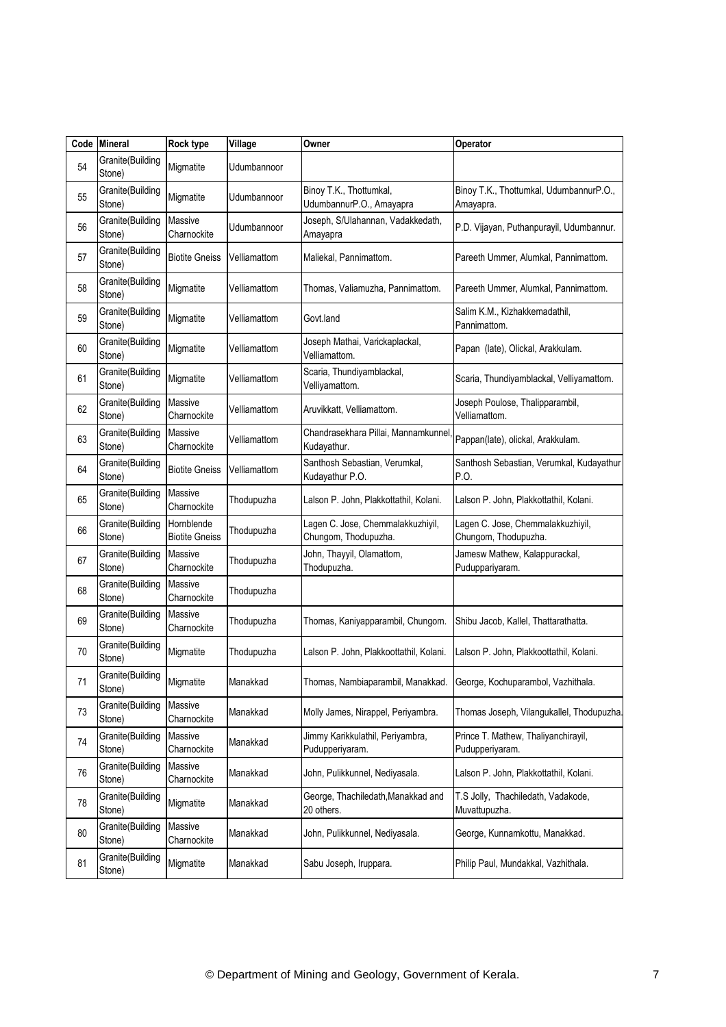| Code | <b>Mineral</b>             | <b>Rock type</b>                    | Village      | Owner                                                     | Operator                                                  |
|------|----------------------------|-------------------------------------|--------------|-----------------------------------------------------------|-----------------------------------------------------------|
| 54   | Granite(Building<br>Stone) | Migmatite                           | Udumbannoor  |                                                           |                                                           |
| 55   | Granite(Building<br>Stone) | Migmatite                           | Udumbannoor  | Binoy T.K., Thottumkal,<br>UdumbannurP.O., Amayapra       | Binoy T.K., Thottumkal, UdumbannurP.O.,<br>Amayapra.      |
| 56   | Granite(Building<br>Stone) | Massive<br>Charnockite              | Jdumbannoor  | Joseph, S/Ulahannan, Vadakkedath,<br>Amayapra             | P.D. Vijayan, Puthanpurayil, Udumbannur.                  |
| 57   | Granite(Building<br>Stone) | <b>Biotite Gneiss</b>               | Velliamattom | Maliekal, Pannimattom.                                    | Pareeth Ummer, Alumkal, Pannimattom.                      |
| 58   | Granite(Building<br>Stone) | Migmatite                           | Velliamattom | Thomas, Valiamuzha, Pannimattom.                          | Pareeth Ummer, Alumkal, Pannimattom.                      |
| 59   | Granite(Building<br>Stone) | Migmatite                           | √elliamattom | Govt.land                                                 | Salim K.M., Kizhakkemadathil,<br>Pannimattom.             |
| 60   | Granite(Building<br>Stone) | Migmatite                           | √elliamattom | Joseph Mathai, Varickaplackal,<br>Velliamattom.           | Papan (late), Olickal, Arakkulam.                         |
| 61   | Granite(Building<br>Stone) | Migmatite                           | √elliamattom | Scaria, Thundiyamblackal,<br>Velliyamattom.               | Scaria, Thundiyamblackal, Velliyamattom.                  |
| 62   | Granite(Building<br>Stone) | Massive<br>Charnockite              | Velliamattom | Aruvikkatt, Velliamattom.                                 | Joseph Poulose, Thalipparambil,<br>Velliamattom.          |
| 63   | Granite(Building<br>Stone) | Massive<br>Charnockite              | √elliamattom | Chandrasekhara Pillai, Mannamkunnel<br>Kudayathur.        | Pappan(late), olickal, Arakkulam.                         |
| 64   | Granite(Building<br>Stone) | <b>Biotite Gneiss</b>               | Velliamattom | Santhosh Sebastian, Verumkal,<br>Kudayathur P.O.          | Santhosh Sebastian, Verumkal, Kudayathur<br>P.O.          |
| 65   | Granite(Building<br>Stone) | Massive<br>Charnockite              | Thodupuzha   | Lalson P. John, Plakkottathil, Kolani.                    | Lalson P. John, Plakkottathil, Kolani.                    |
| 66   | Granite(Building<br>Stone) | Hornblende<br><b>Biotite Gneiss</b> | Thodupuzha   | Lagen C. Jose, Chemmalakkuzhiyil,<br>Chungom, Thodupuzha. | Lagen C. Jose, Chemmalakkuzhiyil,<br>Chungom, Thodupuzha. |
| 67   | Granite(Building<br>Stone) | Massive<br>Charnockite              | Thodupuzha   | John, Thayyil, Olamattom,<br>Thodupuzha.                  | Jamesw Mathew, Kalappurackal,<br>Puduppariyaram.          |
| 68   | Granite(Building<br>Stone) | <b>Massive</b><br>Charnockite       | Thodupuzha   |                                                           |                                                           |
| 69   | Granite(Building<br>Stone) | <b>Massive</b><br>Charnockite       | Thodupuzha   | Thomas, Kaniyapparambil, Chungom.                         | Shibu Jacob, Kallel, Thattarathatta.                      |
| 70   | Granite(Building<br>Stone) | Migmatite                           | Thodupuzha   | Lalson P. John, Plakkoottathil, Kolani.                   | Lalson P. John, Plakkoottathil, Kolani.                   |
| 71   | Granite(Building<br>Stone) | Migmatite                           | Manakkad     | Thomas, Nambiaparambil, Manakkad.                         | George, Kochuparambol, Vazhithala.                        |
| 73   | Granite(Building<br>Stone) | Massive<br>Charnockite              | Manakkad     | Molly James, Nirappel, Periyambra.                        | Thomas Joseph, Vilangukallel, Thodupuzha.                 |
| 74   | Granite(Building<br>Stone) | Massive<br>Charnockite              | Manakkad     | Jimmy Karikkulathil, Periyambra,<br>Pudupperiyaram.       | Prince T. Mathew, Thaliyanchirayil,<br>Pudupperiyaram.    |
| 76   | Granite(Building<br>Stone) | Massive<br>Charnockite              | Manakkad     | John, Pulikkunnel, Nediyasala.                            | Lalson P. John, Plakkottathil, Kolani.                    |
| 78   | Granite(Building<br>Stone) | Migmatite                           | Manakkad     | George, Thachiledath, Manakkad and<br>20 others.          | T.S Jolly, Thachiledath, Vadakode,<br>Muvattupuzha.       |
| 80   | Granite(Building<br>Stone) | Massive<br>Charnockite              | Manakkad     | John, Pulikkunnel, Nediyasala.                            | George, Kunnamkottu, Manakkad.                            |
| 81   | Granite(Building<br>Stone) | Migmatite                           | Manakkad     | Sabu Joseph, Iruppara.                                    | Philip Paul, Mundakkal, Vazhithala.                       |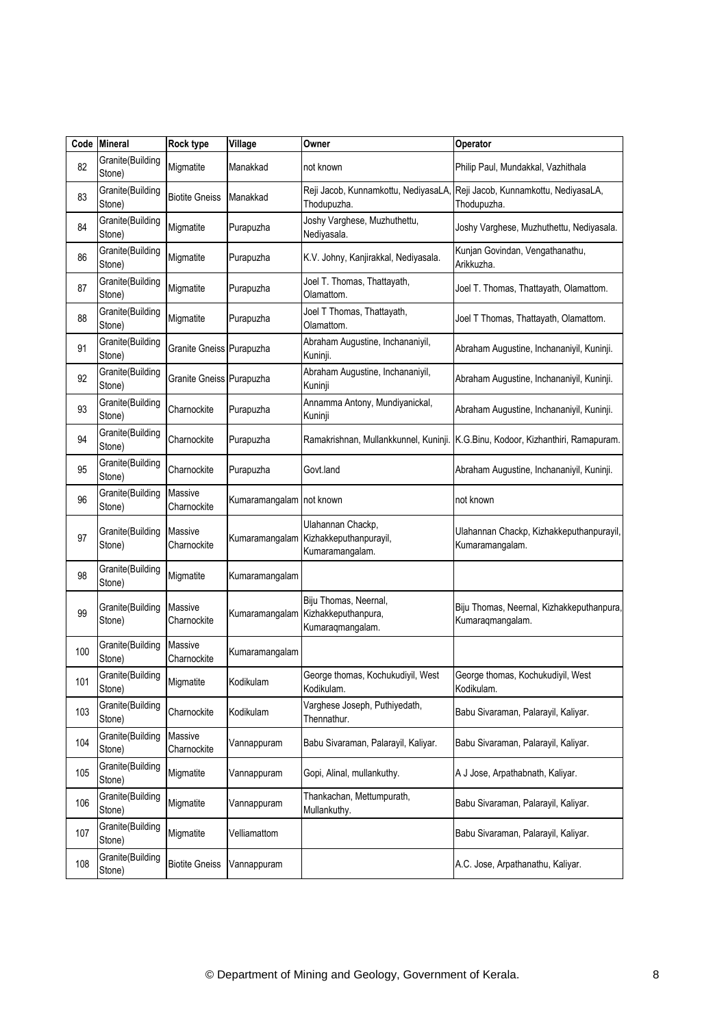|     | Code Mineral               | <b>Rock type</b>         | Village                  | Owner                                                                           | Operator                                                                        |
|-----|----------------------------|--------------------------|--------------------------|---------------------------------------------------------------------------------|---------------------------------------------------------------------------------|
| 82  | Granite(Building<br>Stone) | Migmatite                | Manakkad                 | not known                                                                       | Philip Paul, Mundakkal, Vazhithala                                              |
| 83  | Granite(Building<br>Stone) | <b>Biotite Gneiss</b>    | Manakkad                 | Reji Jacob, Kunnamkottu, NediyasaLA,<br>Thodupuzha.                             | Reji Jacob, Kunnamkottu, NediyasaLA,<br>Thodupuzha.                             |
| 84  | Granite(Building<br>Stone) | Migmatite                | Purapuzha                | Joshy Varghese, Muzhuthettu,<br>Nediyasala.                                     | Joshy Varghese, Muzhuthettu, Nediyasala.                                        |
| 86  | Granite(Building<br>Stone) | Migmatite                | Purapuzha                | K.V. Johny, Kanjirakkal, Nediyasala.                                            | Kunjan Govindan, Vengathanathu,<br>Arikkuzha.                                   |
| 87  | Granite(Building<br>Stone) | Migmatite                | Purapuzha                | Joel T. Thomas, Thattayath,<br>Olamattom.                                       | Joel T. Thomas, Thattayath, Olamattom.                                          |
| 88  | Granite(Building<br>Stone) | Migmatite                | Purapuzha                | Joel T Thomas, Thattayath,<br>Olamattom.                                        | Joel T Thomas, Thattayath, Olamattom.                                           |
| 91  | Granite(Building<br>Stone) | Granite Gneiss Purapuzha |                          | Abraham Augustine, Inchananiyil,<br>Kuninji.                                    | Abraham Augustine, Inchananiyil, Kuninji.                                       |
| 92  | Granite(Building<br>Stone) | Granite Gneiss Purapuzha |                          | Abraham Augustine, Inchananiyil,<br>Kuninji                                     | Abraham Augustine, Inchananiyil, Kuninji.                                       |
| 93  | Granite(Building<br>Stone) | Charnockite              | Purapuzha                | Annamma Antony, Mundiyanickal,<br>Kuninji                                       | Abraham Augustine, Inchananiyil, Kuninji.                                       |
| 94  | Granite(Building<br>Stone) | Charnockite              | Purapuzha                |                                                                                 | Ramakrishnan, Mullankkunnel, Kuninji. K.G.Binu, Kodoor, Kizhanthiri, Ramapuram. |
| 95  | Granite(Building<br>Stone) | Charnockite              | Purapuzha                | Govt.land                                                                       | Abraham Augustine, Inchananiyil, Kuninji.                                       |
| 96  | Granite(Building<br>Stone) | Massive<br>Charnockite   | Kumaramangalam not known |                                                                                 | not known                                                                       |
| 97  | Granite(Building<br>Stone) | Massive<br>Charnockite   | Kumaramangalam           | Ulahannan Chackp,<br>Kizhakkeputhanpurayil,<br>Kumaramangalam.                  | Ulahannan Chackp, Kizhakkeputhanpurayil,<br>Kumaramangalam.                     |
| 98  | Granite(Building<br>Stone) | Migmatite                | Kumaramangalam           |                                                                                 |                                                                                 |
| 99  | Granite(Building<br>Stone) | Massive<br>Charnockite   |                          | Biju Thomas, Neernal,<br>Kumaramangalam Kizhakkeputhanpura,<br>Kumaraqmangalam. | Biju Thomas, Neernal, Kizhakkeputhanpura,<br>Kumaraqmangalam.                   |
| 100 | Granite(Building<br>Stone) | Massive<br>Charnockite   | Kumaramangalam           |                                                                                 |                                                                                 |
| 101 | Granite(Building<br>Stone) | Migmatite                | Kodikulam                | George thomas, Kochukudiyil, West<br>Kodikulam.                                 | George thomas, Kochukudiyil, West<br>Kodikulam.                                 |
| 103 | Granite(Building<br>Stone) | Charnockite              | Kodikulam                | Varghese Joseph, Puthiyedath,<br>Thennathur.                                    | Babu Sivaraman, Palarayil, Kaliyar.                                             |
| 104 | Granite(Building<br>Stone) | Massive<br>Charnockite   | Vannappuram              | Babu Sivaraman, Palarayil, Kaliyar.                                             | Babu Sivaraman, Palarayil, Kaliyar.                                             |
| 105 | Granite(Building<br>Stone) | Migmatite                | Vannappuram              | Gopi, Alinal, mullankuthy.                                                      | A J Jose, Arpathabnath, Kaliyar.                                                |
| 106 | Granite(Building<br>Stone) | Migmatite                | Vannappuram              | Thankachan, Mettumpurath,<br>Mullankuthy.                                       | Babu Sivaraman, Palarayil, Kaliyar.                                             |
| 107 | Granite(Building<br>Stone) | Migmatite                | Velliamattom             |                                                                                 | Babu Sivaraman, Palarayil, Kaliyar.                                             |
| 108 | Granite(Building<br>Stone) | <b>Biotite Gneiss</b>    | Vannappuram              |                                                                                 | A.C. Jose, Arpathanathu, Kaliyar.                                               |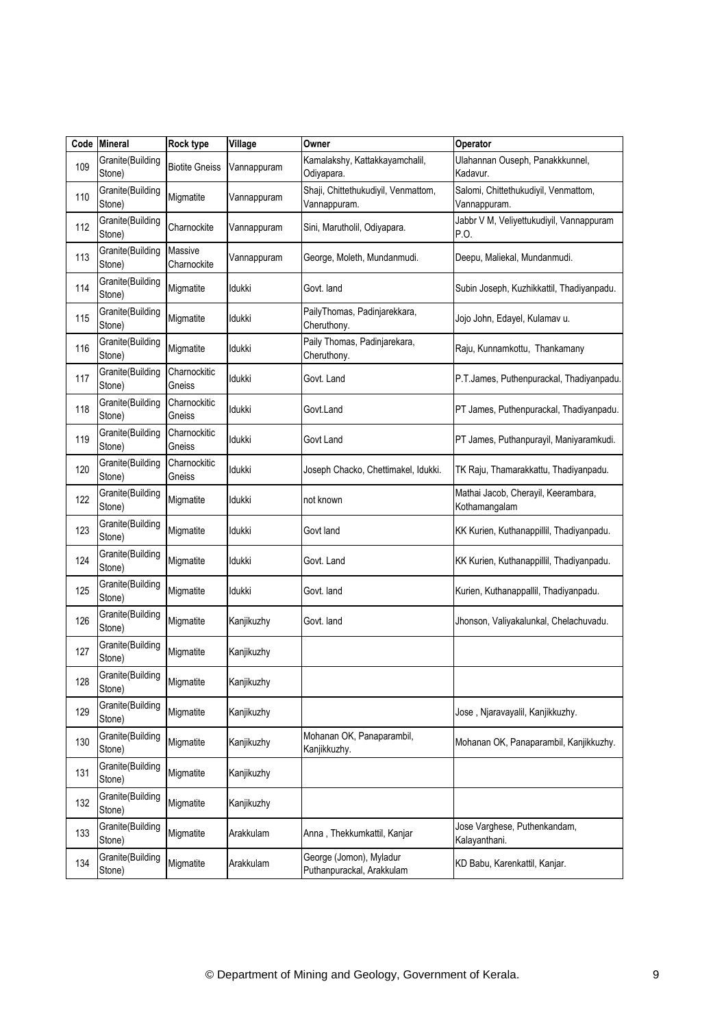| Code | <b>Mineral</b>              | Rock type              | Village     | Owner                                                | Operator                                             |
|------|-----------------------------|------------------------|-------------|------------------------------------------------------|------------------------------------------------------|
| 109  | Granite(Building<br>Stone)  | <b>Biotite Gneiss</b>  | Vannappuram | Kamalakshy, Kattakkayamchalil,<br>Odiyapara.         | Ulahannan Ouseph, Panakkkunnel,<br>Kadavur.          |
| 110  | Granite(Building<br>Stone)  | Migmatite              | Vannappuram | Shaji, Chittethukudiyil, Venmattom,<br>Vannappuram.  | Salomi, Chittethukudiyil, Venmattom,<br>Vannappuram. |
| 112  | Granite(Building<br>Stone)  | Charnockite            | Vannappuram | Sini, Marutholil, Odiyapara.                         | Jabbr V M, Veliyettukudiyil, Vannappuram<br>P.O.     |
| 113  | Granite(Building<br>Stone)  | Massive<br>Charnockite | √annappuram | George, Moleth, Mundanmudi.                          | Deepu, Maliekal, Mundanmudi.                         |
| 114  | Granite(Building<br>Stone)  | Migmatite              | ldukki      | Govt. land                                           | Subin Joseph, Kuzhikkattil, Thadiyanpadu.            |
| 115  | Granite(Building<br>Stone)  | Migmatite              | ldukki      | PailyThomas, Padinjarekkara,<br>Cheruthony.          | Jojo John, Edayel, Kulamav u.                        |
| 116  | Granite(Building<br>Stone)  | Migmatite              | ldukki      | Paily Thomas, Padinjarekara,<br>Cheruthony.          | Raju, Kunnamkottu, Thankamany                        |
| 117  | Granite(Building<br>Stone)  | Charnockitic<br>Gneiss | ldukki      | Govt. Land                                           | P.T.James, Puthenpurackal, Thadiyanpadu.             |
| 118  | Granite(Building<br>Stone)  | Charnockitic<br>Gneiss | ldukki      | Govt.Land                                            | PT James, Puthenpurackal, Thadiyanpadu.              |
| 119  | Granite(Building<br>Stone)  | Charnockitic<br>Gneiss | ldukki      | Govt Land                                            | PT James, Puthanpurayil, Maniyaramkudi.              |
| 120  | Granite(Building<br>Stone)  | Charnockitic<br>Gneiss | ldukki      | Joseph Chacko, Chettimakel, Idukki.                  | TK Raju, Thamarakkattu, Thadiyanpadu.                |
| 122  | Granite(Building<br>Stone)  | Migmatite              | ldukki      | not known                                            | Mathai Jacob, Cherayil, Keerambara,<br>Kothamangalam |
| 123  | Granite(Building<br>Stone)  | Migmatite              | ldukki      | Govt land                                            | KK Kurien, Kuthanappillil, Thadiyanpadu.             |
| 124  | Granite(Building<br>Stone)  | Migmatite              | Idukki      | Govt. Land                                           | KK Kurien, Kuthanappillil, Thadiyanpadu.             |
| 125  | Granite(Building<br>Stone)  | Migmatite              | Idukki      | Govt. land                                           | Kurien, Kuthanappallil, Thadiyanpadu.                |
| 126  | Granite(Building<br>Stone)  | Migmatite              | Kanjikuzhy  | Govt. land                                           | Jhonson, Valiyakalunkal, Chelachuvadu.               |
| 127  | Granite(Building<br>Stone)  | Migmatite              | Kanjikuzhy  |                                                      |                                                      |
| 128  | Granite (Building<br>Stone) | Migmatite              | Kanjikuzhy  |                                                      |                                                      |
| 129  | Granite(Building<br>Stone)  | Migmatite              | Kanjikuzhy  |                                                      | Jose, Njaravayalil, Kanjikkuzhy.                     |
| 130  | Granite(Building<br>Stone)  | Migmatite              | Kanjikuzhy  | Mohanan OK, Panaparambil,<br>Kanjikkuzhy.            | Mohanan OK, Panaparambil, Kanjikkuzhy.               |
| 131  | Granite(Building<br>Stone)  | Migmatite              | Kanjikuzhy  |                                                      |                                                      |
| 132  | Granite(Building<br>Stone)  | Migmatite              | Kanjikuzhy  |                                                      |                                                      |
| 133  | Granite(Building<br>Stone)  | Migmatite              | Arakkulam   | Anna, Thekkumkattil, Kanjar                          | Jose Varghese, Puthenkandam,<br>Kalayanthani.        |
| 134  | Granite(Building<br>Stone)  | Migmatite              | Arakkulam   | George (Jomon), Myladur<br>Puthanpurackal, Arakkulam | KD Babu, Karenkattil, Kanjar.                        |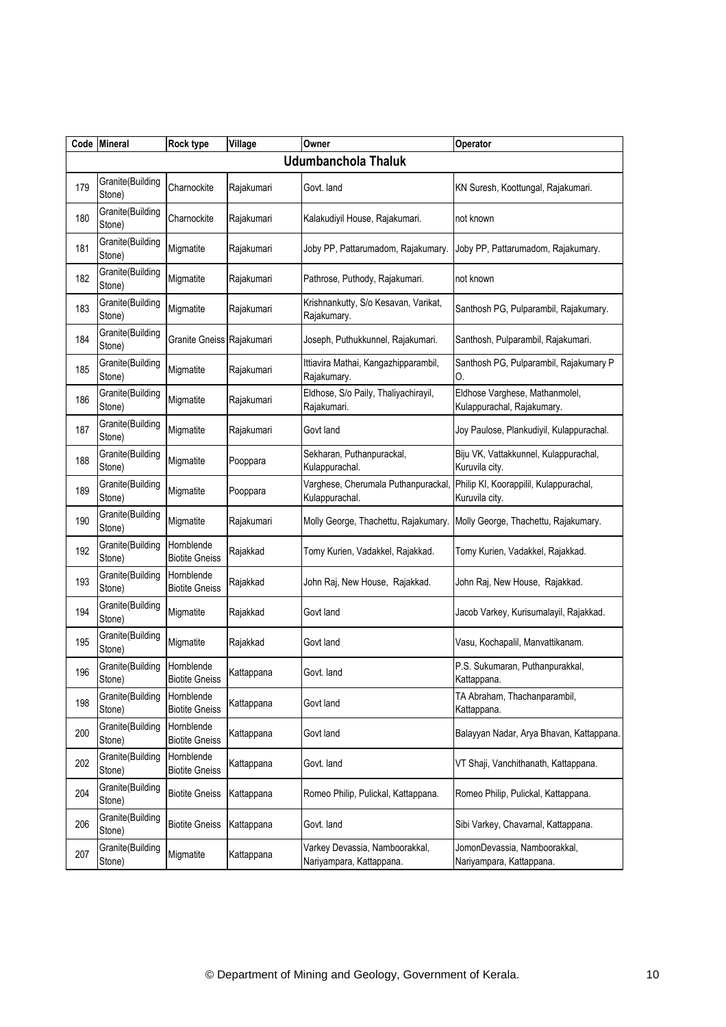|     | Code Mineral               | <b>Rock type</b>                    | Village    | Owner                                                      | Operator                                                     |  |  |  |  |  |
|-----|----------------------------|-------------------------------------|------------|------------------------------------------------------------|--------------------------------------------------------------|--|--|--|--|--|
|     | Udumbanchola Thaluk        |                                     |            |                                                            |                                                              |  |  |  |  |  |
| 179 | Granite(Building<br>Stone) | Charnockite                         | Rajakumari | Govt. land                                                 | KN Suresh, Koottungal, Rajakumari.                           |  |  |  |  |  |
| 180 | Granite(Building<br>Stone) | Charnockite                         | Rajakumari | Kalakudiyil House, Rajakumari.                             | not known                                                    |  |  |  |  |  |
| 181 | Granite(Building<br>Stone) | Migmatite                           | Rajakumari | Joby PP, Pattarumadom, Rajakumary.                         | Joby PP, Pattarumadom, Rajakumary.                           |  |  |  |  |  |
| 182 | Granite(Building<br>Stone) | Migmatite                           | Rajakumari | Pathrose, Puthody, Rajakumari.                             | not known                                                    |  |  |  |  |  |
| 183 | Granite(Building<br>Stone) | Migmatite                           | Rajakumari | Krishnankutty, S/o Kesavan, Varikat,<br>Rajakumary.        | Santhosh PG, Pulparambil, Rajakumary.                        |  |  |  |  |  |
| 184 | Granite(Building<br>Stone) | Granite Gneiss Rajakumari           |            | Joseph, Puthukkunnel, Rajakumari.                          | Santhosh, Pulparambil, Rajakumari.                           |  |  |  |  |  |
| 185 | Granite(Building<br>Stone) | Migmatite                           | Rajakumari | Ittiavira Mathai, Kangazhipparambil,<br>Rajakumary.        | Santhosh PG, Pulparambil, Rajakumary P<br>0.                 |  |  |  |  |  |
| 186 | Granite(Building<br>Stone) | Migmatite                           | Rajakumari | Eldhose, S/o Paily, Thaliyachirayil,<br>Rajakumari.        | Eldhose Varghese, Mathanmolel,<br>Kulappurachal, Rajakumary. |  |  |  |  |  |
| 187 | Granite(Building<br>Stone) | Migmatite                           | Rajakumari | Govt land                                                  | Joy Paulose, Plankudiyil, Kulappurachal.                     |  |  |  |  |  |
| 188 | Granite(Building<br>Stone) | Migmatite                           | Pooppara   | Sekharan, Puthanpurackal,<br>Kulappurachal.                | Biju VK, Vattakkunnel, Kulappurachal,<br>Kuruvila city.      |  |  |  |  |  |
| 189 | Granite(Building<br>Stone) | Migmatite                           | Pooppara   | Varghese, Cherumala Puthanpurackal,<br>Kulappurachal.      | Philip KI, Koorappilil, Kulappurachal,<br>Kuruvila city.     |  |  |  |  |  |
| 190 | Granite(Building<br>Stone) | Migmatite                           | Rajakumari | Molly George, Thachettu, Rajakumary                        | Molly George, Thachettu, Rajakumary.                         |  |  |  |  |  |
| 192 | Granite(Building<br>Stone) | Hornblende<br><b>Biotite Gneiss</b> | Rajakkad   | Tomy Kurien, Vadakkel, Rajakkad.                           | Tomy Kurien, Vadakkel, Rajakkad.                             |  |  |  |  |  |
| 193 | Granite(Building<br>Stone) | Hornblende<br><b>Biotite Gneiss</b> | Rajakkad   | John Raj, New House, Rajakkad.                             | John Raj, New House, Rajakkad.                               |  |  |  |  |  |
| 194 | Granite(Building<br>Stone) | Migmatite                           | Rajakkad   | Govt land                                                  | Jacob Varkey, Kurisumalayil, Rajakkad.                       |  |  |  |  |  |
| 195 | Granite(Building<br>Stone) | Migmatite                           | Rajakkad   | Govt land                                                  | Vasu, Kochapalil, Manvattikanam.                             |  |  |  |  |  |
| 196 | Granite(Building<br>Stone) | Hornblende<br><b>Biotite Gneiss</b> | Kattappana | Govt. land                                                 | P.S. Sukumaran, Puthanpurakkal,<br>Kattappana.               |  |  |  |  |  |
| 198 | Granite(Building<br>Stone) | Hornblende<br><b>Biotite Gneiss</b> | Kattappana | Govt land                                                  | TA Abraham, Thachanparambil,<br>Kattappana.                  |  |  |  |  |  |
| 200 | Granite(Building<br>Stone) | Hornblende<br><b>Biotite Gneiss</b> | Kattappana | Govt land                                                  | Balayyan Nadar, Arya Bhavan, Kattappana.                     |  |  |  |  |  |
| 202 | Granite(Building<br>Stone) | Hornblende<br><b>Biotite Gneiss</b> | Kattappana | Govt. land                                                 | VT Shaji, Vanchithanath, Kattappana.                         |  |  |  |  |  |
| 204 | Granite(Building<br>Stone) | <b>Biotite Gneiss</b>               | Kattappana | Romeo Philip, Pulickal, Kattappana.                        | Romeo Philip, Pulickal, Kattappana.                          |  |  |  |  |  |
| 206 | Granite(Building<br>Stone) | <b>Biotite Gneiss</b>               | Kattappana | Govt. land                                                 | Sibi Varkey, Chavarnal, Kattappana.                          |  |  |  |  |  |
| 207 | Granite(Building<br>Stone) | Migmatite                           | Kattappana | Varkey Devassia, Namboorakkal,<br>Nariyampara, Kattappana. | JomonDevassia, Namboorakkal,<br>Nariyampara, Kattappana.     |  |  |  |  |  |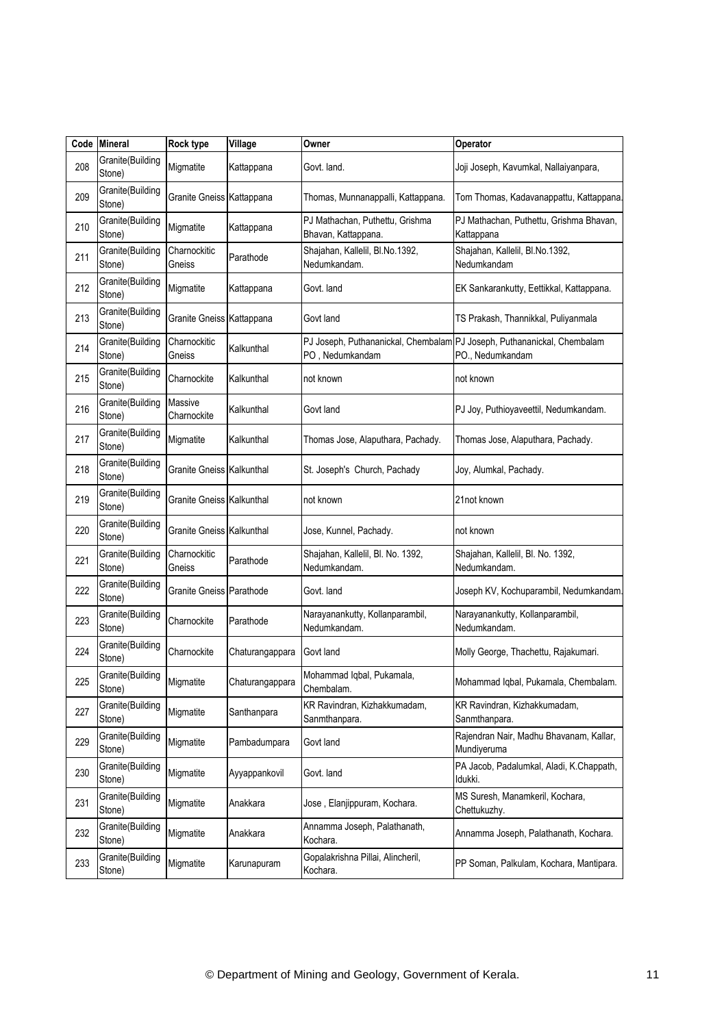| Code | <b>Mineral</b>             | Rock type                        | Village         | Owner                                                  | Operator                                                                                    |
|------|----------------------------|----------------------------------|-----------------|--------------------------------------------------------|---------------------------------------------------------------------------------------------|
| 208  | Granite(Building<br>Stone) | Migmatite                        | Kattappana      | Govt. land.                                            | Joji Joseph, Kavumkal, Nallaiyanpara,                                                       |
| 209  | Granite(Building<br>Stone) | Granite Gneiss Kattappana        |                 | Thomas, Munnanappalli, Kattappana.                     | Tom Thomas, Kadavanappattu, Kattappana.                                                     |
| 210  | Granite(Building<br>Stone) | Migmatite                        | Kattappana      | PJ Mathachan, Puthettu, Grishma<br>Bhavan, Kattappana. | PJ Mathachan, Puthettu, Grishma Bhavan,<br>Kattappana                                       |
| 211  | Granite(Building<br>Stone) | Charnockitic<br>Gneiss           | Parathode       | Shajahan, Kallelil, Bl.No.1392,<br>Nedumkandam.        | Shajahan, Kallelil, Bl.No.1392,<br>Nedumkandam                                              |
| 212  | Granite(Building<br>Stone) | Migmatite                        | Kattappana      | Govt. land                                             | EK Sankarankutty, Eettikkal, Kattappana.                                                    |
| 213  | Granite(Building<br>Stone) | Granite Gneiss Kattappana        |                 | Govt land                                              | TS Prakash, Thannikkal, Puliyanmala                                                         |
| 214  | Granite(Building<br>Stone) | Charnockitic<br>Gneiss           | Kalkunthal      | PO, Nedumkandam                                        | PJ Joseph, Puthananickal, Chembalam PJ Joseph, Puthananickal, Chembalam<br>PO., Nedumkandam |
| 215  | Granite(Building<br>Stone) | Charnockite                      | Kalkunthal      | not known                                              | not known                                                                                   |
| 216  | Granite(Building<br>Stone) | Massive<br>Charnockite           | Kalkunthal      | Govt land                                              | PJ Joy, Puthioyaveettil, Nedumkandam.                                                       |
| 217  | Granite(Building<br>Stone) | Migmatite                        | Kalkunthal      | Thomas Jose, Alaputhara, Pachady.                      | Thomas Jose, Alaputhara, Pachady.                                                           |
| 218  | Granite(Building<br>Stone) | Granite Gneiss Kalkunthal        |                 | St. Joseph's Church, Pachady                           | Joy, Alumkal, Pachady.                                                                      |
| 219  | Granite(Building<br>Stone) | Granite Gneiss Kalkunthal        |                 | not known                                              | 21not known                                                                                 |
| 220  | Granite(Building<br>Stone) | <b>Granite Gneiss Kalkunthal</b> |                 | Jose, Kunnel, Pachady.                                 | not known                                                                                   |
| 221  | Granite(Building<br>Stone) | Charnockitic<br>Gneiss           | Parathode       | Shajahan, Kallelil, Bl. No. 1392,<br>Nedumkandam.      | Shajahan, Kallelil, Bl. No. 1392,<br>Nedumkandam.                                           |
| 222  | Granite(Building<br>Stone) | Granite Gneiss Parathode         |                 | Govt. land                                             | Joseph KV, Kochuparambil, Nedumkandam.                                                      |
| 223  | Granite(Building<br>Stone) | Charnockite                      | Parathode       | Narayanankutty, Kollanparambil,<br>Nedumkandam.        | Narayanankutty, Kollanparambil,<br>Nedumkandam.                                             |
| 224  | Granite(Building<br>Stone) | Charnockite                      | Chaturangappara | Govt land                                              | Molly George, Thachettu, Rajakumari.                                                        |
| 225  | Granite(Building<br>Stone) | Migmatite                        | Chaturangappara | Mohammad Iqbal, Pukamala,<br>Chembalam.                | Mohammad Iqbal, Pukamala, Chembalam.                                                        |
| 227  | Granite(Building<br>Stone) | Migmatite                        | Santhanpara     | KR Ravindran, Kizhakkumadam,<br>Sanmthanpara.          | KR Ravindran, Kizhakkumadam,<br>Sanmthanpara.                                               |
| 229  | Granite(Building<br>Stone) | Migmatite                        | Pambadumpara    | Govt land                                              | Rajendran Nair, Madhu Bhavanam, Kallar,<br>Mundiyeruma                                      |
| 230  | Granite(Building<br>Stone) | Migmatite                        | Ayyappankovil   | Govt. land                                             | PA Jacob, Padalumkal, Aladi, K.Chappath,<br>ldukki.                                         |
| 231  | Granite(Building<br>Stone) | Migmatite                        | Anakkara        | Jose, Elanjippuram, Kochara.                           | MS Suresh, Manamkeril, Kochara,<br>Chettukuzhy.                                             |
| 232  | Granite(Building<br>Stone) | Migmatite                        | Anakkara        | Annamma Joseph, Palathanath,<br>Kochara.               | Annamma Joseph, Palathanath, Kochara.                                                       |
| 233  | Granite(Building<br>Stone) | Migmatite                        | Karunapuram     | Gopalakrishna Pillai, Alincheril,<br>Kochara.          | PP Soman, Palkulam, Kochara, Mantipara.                                                     |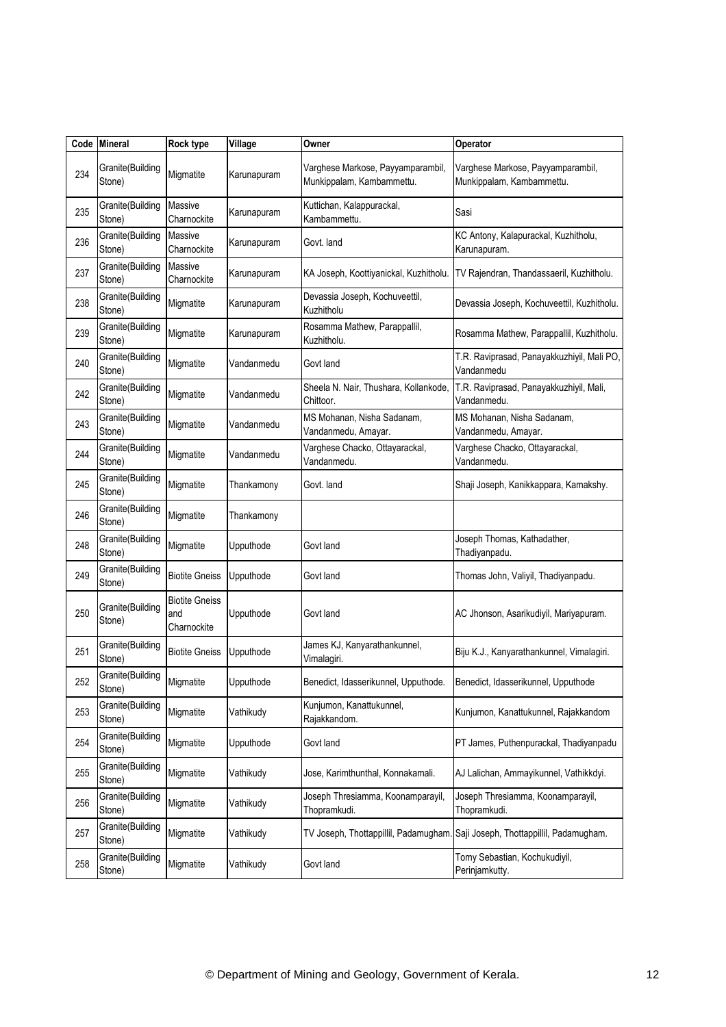| Code | <b>Mineral</b>             | Rock type                                   | Village     | Owner                                                          | Operator                                                       |
|------|----------------------------|---------------------------------------------|-------------|----------------------------------------------------------------|----------------------------------------------------------------|
| 234  | Granite(Building<br>Stone) | Migmatite                                   | Karunapuram | Varghese Markose, Payyamparambil,<br>Munkippalam, Kambammettu. | Varghese Markose, Payyamparambil,<br>Munkippalam, Kambammettu. |
| 235  | Granite(Building<br>Stone) | Massive<br>Charnockite                      | Karunapuram | Kuttichan, Kalappurackal,<br>Kambammettu.                      | Sasi                                                           |
| 236  | Granite(Building<br>Stone) | Massive<br>Charnockite                      | Karunapuram | Govt. land                                                     | KC Antony, Kalapurackal, Kuzhitholu,<br>Karunapuram.           |
| 237  | Granite(Building<br>Stone) | <b>Massive</b><br>Charnockite               | Karunapuram | KA Joseph, Koottiyanickal, Kuzhitholu.                         | TV Rajendran, Thandassaeril, Kuzhitholu.                       |
| 238  | Granite(Building<br>Stone) | Migmatite                                   | Karunapuram | Devassia Joseph, Kochuveettil,<br>Kuzhitholu                   | Devassia Joseph, Kochuveettil, Kuzhitholu.                     |
| 239  | Granite(Building<br>Stone) | Migmatite                                   | Karunapuram | Rosamma Mathew, Parappallil,<br>Kuzhitholu.                    | Rosamma Mathew, Parappallil, Kuzhitholu.                       |
| 240  | Granite(Building<br>Stone) | Migmatite                                   | Vandanmedu  | Govt land                                                      | T.R. Raviprasad, Panayakkuzhiyil, Mali PO,<br>Vandanmedu       |
| 242  | Granite(Building<br>Stone) | Migmatite                                   | Vandanmedu  | Sheela N. Nair, Thushara, Kollankode,<br>Chittoor.             | T.R. Raviprasad, Panayakkuzhiyil, Mali,<br>Vandanmedu.         |
| 243  | Granite(Building<br>Stone) | Migmatite                                   | Vandanmedu  | MS Mohanan, Nisha Sadanam,<br>Vandanmedu, Amayar.              | MS Mohanan, Nisha Sadanam,<br>Vandanmedu, Amayar.              |
| 244  | Granite(Building<br>Stone) | Migmatite                                   | Vandanmedu  | Varghese Chacko, Ottayarackal,<br>Vandanmedu.                  | Varghese Chacko, Ottayarackal,<br>Vandanmedu.                  |
| 245  | Granite(Building<br>Stone) | Migmatite                                   | Thankamony  | Govt. land                                                     | Shaji Joseph, Kanikkappara, Kamakshy.                          |
| 246  | Granite(Building<br>Stone) | Migmatite                                   | Thankamony  |                                                                |                                                                |
| 248  | Granite(Building<br>Stone) | Migmatite                                   | Upputhode   | Govt land                                                      | Joseph Thomas, Kathadather,<br>Thadiyanpadu.                   |
| 249  | Granite(Building<br>Stone) | <b>Biotite Gneiss</b>                       | Upputhode   | Govt land                                                      | Thomas John, Valiyil, Thadiyanpadu.                            |
| 250  | Granite(Building<br>Stone) | <b>Biotite Gneiss</b><br>and<br>Charnockite | Upputhode   | Govt land                                                      | AC Jhonson, Asarikudiyil, Mariyapuram.                         |
| 251  | Granite(Building<br>Stone) | <b>Biotite Gneiss</b>                       | Upputhode   | James KJ, Kanyarathankunnel,<br>Vimalagiri.                    | Biju K.J., Kanyarathankunnel, Vimalagiri.                      |
| 252  | Granite(Building<br>Stone) | Migmatite                                   | Upputhode   | Benedict, Idasserikunnel, Upputhode.                           | Benedict, Idasserikunnel, Upputhode                            |
| 253  | Granite(Building<br>Stone) | Migmatite                                   | Vathikudy   | Kunjumon, Kanattukunnel,<br>Rajakkandom.                       | Kunjumon, Kanattukunnel, Rajakkandom                           |
| 254  | Granite(Building<br>Stone) | Migmatite                                   | Upputhode   | Govt land                                                      | PT James, Puthenpurackal, Thadiyanpadu                         |
| 255  | Granite(Building<br>Stone) | Migmatite                                   | Vathikudy   | Jose, Karimthunthal, Konnakamali.                              | AJ Lalichan, Ammayikunnel, Vathikkdyi.                         |
| 256  | Granite(Building<br>Stone) | Migmatite                                   | Vathikudy   | Joseph Thresiamma, Koonamparayil,<br>Thopramkudi.              | Joseph Thresiamma, Koonamparayil,<br>Thopramkudi.              |
| 257  | Granite(Building<br>Stone) | Migmatite                                   | Vathikudy   | TV Joseph, Thottappillil, Padamugham.                          | Saji Joseph, Thottappillil, Padamugham.                        |
| 258  | Granite(Building<br>Stone) | Migmatite                                   | Vathikudy   | Govt land                                                      | Tomy Sebastian, Kochukudiyil,<br>Perinjamkutty.                |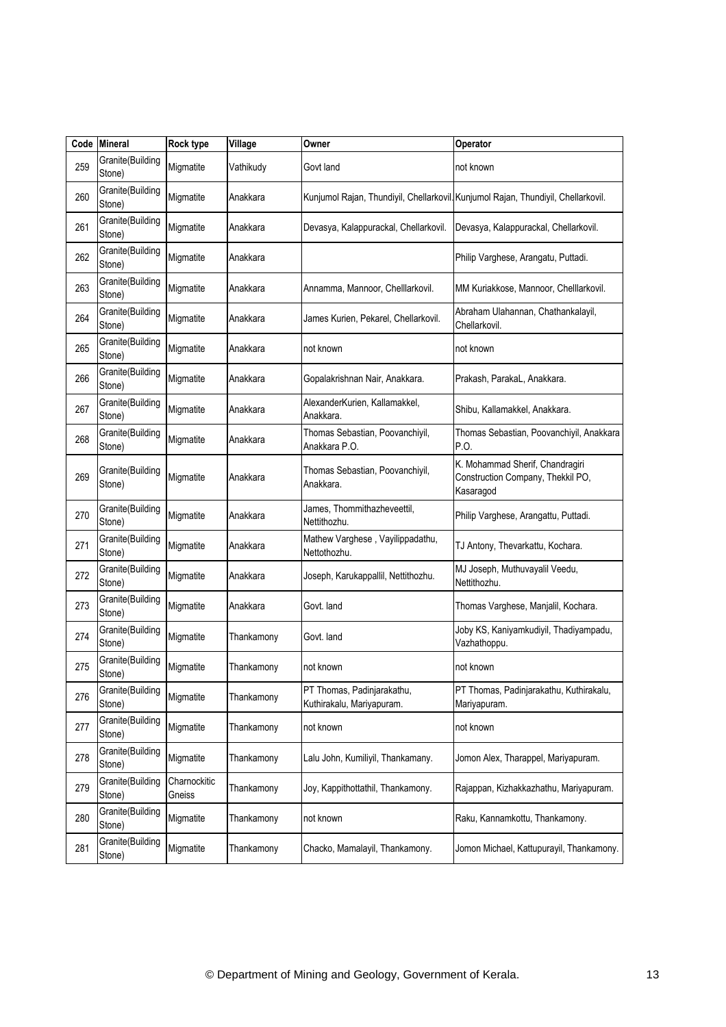|     | Code Mineral               | <b>Rock type</b>       | Village    | Owner                                                   | Operator                                                                          |
|-----|----------------------------|------------------------|------------|---------------------------------------------------------|-----------------------------------------------------------------------------------|
| 259 | Granite(Building<br>Stone) | Migmatite              | Vathikudy  | Govt land                                               | not known                                                                         |
| 260 | Granite(Building<br>Stone) | Migmatite              | Anakkara   |                                                         | Kunjumol Rajan, Thundiyil, Chellarkovil Kunjumol Rajan, Thundiyil, Chellarkovil.  |
| 261 | Granite(Building<br>Stone) | Migmatite              | Anakkara   | Devasya, Kalappurackal, Chellarkovil.                   | Devasya, Kalappurackal, Chellarkovil.                                             |
| 262 | Granite(Building<br>Stone) | Migmatite              | Anakkara   |                                                         | Philip Varghese, Arangatu, Puttadi.                                               |
| 263 | Granite(Building<br>Stone) | Migmatite              | Anakkara   | Annamma, Mannoor, Chelllarkovil.                        | MM Kuriakkose, Mannoor, Chelllarkovil.                                            |
| 264 | Granite(Building<br>Stone) | Migmatite              | Anakkara   | James Kurien, Pekarel, Chellarkovil.                    | Abraham Ulahannan, Chathankalayil,<br>Chellarkovil.                               |
| 265 | Granite(Building<br>Stone) | Migmatite              | Anakkara   | not known                                               | not known                                                                         |
| 266 | Granite(Building<br>Stone) | Migmatite              | Anakkara   | Gopalakrishnan Nair, Anakkara.                          | Prakash, ParakaL, Anakkara.                                                       |
| 267 | Granite(Building<br>Stone) | Migmatite              | Anakkara   | AlexanderKurien, Kallamakkel,<br>Anakkara.              | Shibu, Kallamakkel, Anakkara.                                                     |
| 268 | Granite(Building<br>Stone) | Migmatite              | Anakkara   | Thomas Sebastian, Poovanchiyil,<br>Anakkara P.O.        | Thomas Sebastian, Poovanchiyil, Anakkara<br>P.O.                                  |
| 269 | Granite(Building<br>Stone) | Migmatite              | Anakkara   | Thomas Sebastian, Poovanchiyil,<br>Anakkara.            | K. Mohammad Sherif, Chandragiri<br>Construction Company, Thekkil PO,<br>Kasaragod |
| 270 | Granite(Building<br>Stone) | Migmatite              | Anakkara   | James, Thommithazheveettil,<br>Nettithozhu.             | Philip Varghese, Arangattu, Puttadi.                                              |
| 271 | Granite(Building<br>Stone) | Migmatite              | Anakkara   | Mathew Varghese, Vayilippadathu,<br>Nettothozhu.        | TJ Antony, Thevarkattu, Kochara.                                                  |
| 272 | Granite(Building<br>Stone) | Migmatite              | Anakkara   | Joseph, Karukappallil, Nettithozhu.                     | MJ Joseph, Muthuvayalil Veedu,<br>Nettithozhu.                                    |
| 273 | Granite(Building<br>Stone) | Migmatite              | Anakkara   | Govt. land                                              | Thomas Varghese, Manjalil, Kochara.                                               |
| 274 | Granite(Building<br>Stone) | Migmatite              | Thankamony | Govt. land                                              | Joby KS, Kaniyamkudiyil, Thadiyampadu,<br>Vazhathoppu.                            |
| 275 | Granite(Building<br>Stone) | Migmatite              | Thankamony | not known                                               | not known                                                                         |
| 276 | Granite(Building<br>Stone) | Migmatite              | Thankamony | PT Thomas, Padinjarakathu,<br>Kuthirakalu, Mariyapuram. | PT Thomas, Padinjarakathu, Kuthirakalu,<br>Mariyapuram.                           |
| 277 | Granite(Building<br>Stone) | Migmatite              | Thankamony | not known                                               | not known                                                                         |
| 278 | Granite(Building<br>Stone) | Migmatite              | Thankamony | Lalu John, Kumiliyil, Thankamany.                       | Jomon Alex, Tharappel, Mariyapuram.                                               |
| 279 | Granite(Building<br>Stone) | Charnockitic<br>Gneiss | Thankamony | Joy, Kappithottathil, Thankamony.                       | Rajappan, Kizhakkazhathu, Mariyapuram.                                            |
| 280 | Granite(Building<br>Stone) | Migmatite              | Thankamony | not known                                               | Raku, Kannamkottu, Thankamony.                                                    |
| 281 | Granite(Building<br>Stone) | Migmatite              | Thankamony | Chacko, Mamalayil, Thankamony.                          | Jomon Michael, Kattupurayil, Thankamony.                                          |